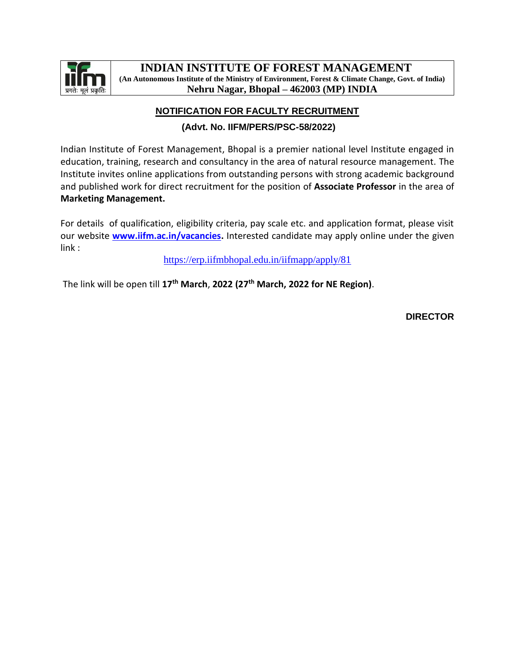

# **NOTIFICATION FOR FACULTY RECRUITMENT**

## **(Advt. No. IIFM/PERS/PSC-58/2022)**

Indian Institute of Forest Management, Bhopal is a premier national level Institute engaged in education, training, research and consultancy in the area of natural resource management. The Institute invites online applications from outstanding persons with strong academic background and published work for direct recruitment for the position of **Associate Professor** in the area of **Marketing Management.**

For details of qualification, eligibility criteria, pay scale etc. and application format, please visit our website **[www.iifm.ac.in/vacancies.](http://www.iifm.ac.in/vacancies)** Interested candidate may apply online under the given link :

<https://erp.iifmbhopal.edu.in/iifmapp/apply/81>

The link will be open till **17th March**, **2022 (27th March, 2022 for NE Region)**.

**DIRECTOR**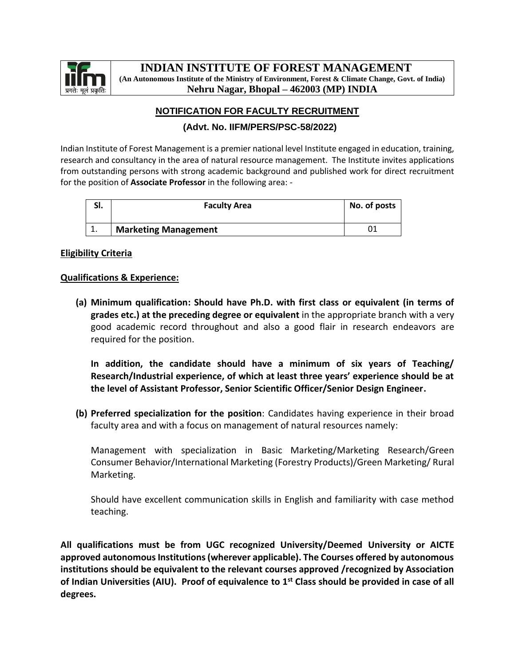

## **NOTIFICATION FOR FACULTY RECRUITMENT**

## **(Advt. No. IIFM/PERS/PSC-58/2022)**

Indian Institute of Forest Management is a premier national level Institute engaged in education, training, research and consultancy in the area of natural resource management. The Institute invites applications from outstanding persons with strong academic background and published work for direct recruitment for the position of **Associate Professor** in the following area: -

| эı.       | <b>Faculty Area</b>         | No. of posts |
|-----------|-----------------------------|--------------|
| <b>L.</b> | <b>Marketing Management</b> |              |

### **Eligibility Criteria**

#### **Qualifications & Experience:**

**(a) Minimum qualification: Should have Ph.D. with first class or equivalent (in terms of grades etc.) at the preceding degree or equivalent** in the appropriate branch with a very good academic record throughout and also a good flair in research endeavors are required for the position.

**In addition, the candidate should have a minimum of six years of Teaching/ Research/Industrial experience, of which at least three years' experience should be at the level of Assistant Professor, Senior Scientific Officer/Senior Design Engineer.**

**(b) Preferred specialization for the position**: Candidates having experience in their broad faculty area and with a focus on management of natural resources namely:

Management with specialization in Basic Marketing/Marketing Research/Green Consumer Behavior/International Marketing (Forestry Products)/Green Marketing/ Rural Marketing.

Should have excellent communication skills in English and familiarity with case method teaching.

**All qualifications must be from UGC recognized University/Deemed University or AICTE approved autonomous Institutions (wherever applicable). The Courses offered by autonomous institutions should be equivalent to the relevant courses approved /recognized by Association of Indian Universities (AIU). Proof of equivalence to 1st Class should be provided in case of all degrees.**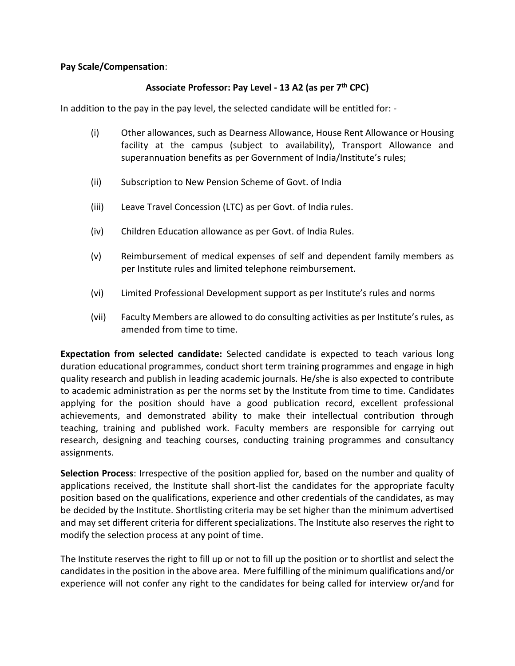#### **Pay Scale/Compensation**:

## **Associate Professor: Pay Level - 13 A2 (as per 7th CPC)**

In addition to the pay in the pay level, the selected candidate will be entitled for: -

- (i) Other allowances, such as Dearness Allowance, House Rent Allowance or Housing facility at the campus (subject to availability), Transport Allowance and superannuation benefits as per Government of India/Institute's rules;
- (ii) Subscription to New Pension Scheme of Govt. of India
- (iii) Leave Travel Concession (LTC) as per Govt. of India rules.
- (iv) Children Education allowance as per Govt. of India Rules.
- (v) Reimbursement of medical expenses of self and dependent family members as per Institute rules and limited telephone reimbursement.
- (vi) Limited Professional Development support as per Institute's rules and norms
- (vii) Faculty Members are allowed to do consulting activities as per Institute's rules, as amended from time to time.

**Expectation from selected candidate:** Selected candidate is expected to teach various long duration educational programmes, conduct short term training programmes and engage in high quality research and publish in leading academic journals. He/she is also expected to contribute to academic administration as per the norms set by the Institute from time to time. Candidates applying for the position should have a good publication record, excellent professional achievements, and demonstrated ability to make their intellectual contribution through teaching, training and published work. Faculty members are responsible for carrying out research, designing and teaching courses, conducting training programmes and consultancy assignments.

**Selection Process**: Irrespective of the position applied for, based on the number and quality of applications received, the Institute shall short-list the candidates for the appropriate faculty position based on the qualifications, experience and other credentials of the candidates, as may be decided by the Institute. Shortlisting criteria may be set higher than the minimum advertised and may set different criteria for different specializations. The Institute also reserves the right to modify the selection process at any point of time.

The Institute reserves the right to fill up or not to fill up the position or to shortlist and select the candidates in the position in the above area. Mere fulfilling of the minimum qualifications and/or experience will not confer any right to the candidates for being called for interview or/and for